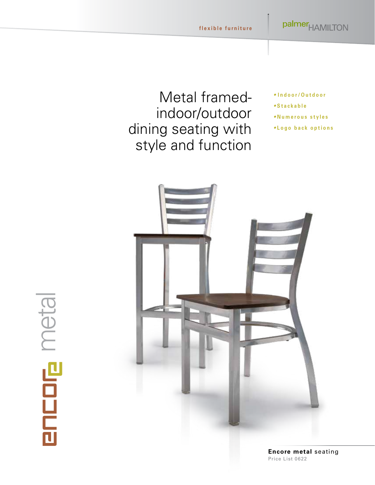### Metal framedindoor/outdoor dining seating with style and function

- *•* **Indoor/Outdoor**
- **Stackable**
- **Numerous styles**
- **Logo back options**



encore metal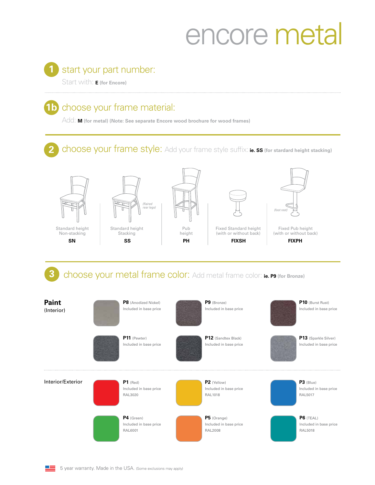# encore metal

#### 1 start your part number:

Start with: **E (for Encore)**

#### **1b** choose your frame material:

Add: **M (for metal) (Note: See separate Encore wood brochure for wood frames)**

choose your frame style: Add your frame style suffix: ie. ss (for stardard height stacking) **2**



choose your metal frame color: Add metal frame color: **ie. P9 (for Bronze)**

(Interior) **Pub heliable discussed in base price P8** (Anodized Nickel) **P1** (Red) Included in base price RAL3020 **P11** (Pewter) Included in base price **P4** (Green) Included in base price RAL6001 **P9** (Bronze) Included in base price **P2** (Yellow) Included in base price RAL1018 **P12** (Sandtex Black) Included in base price **P5** (Orange) Included in base price RAL2008 **P6** (TEAL) Included in base price RAL5018 **P10** (Burst Rust) Included in base price **P3** (Blue) Included in base price RAL5017 **P13** (Sparkle Silver) Included in base price **Paint** Interior/Exterior



**3**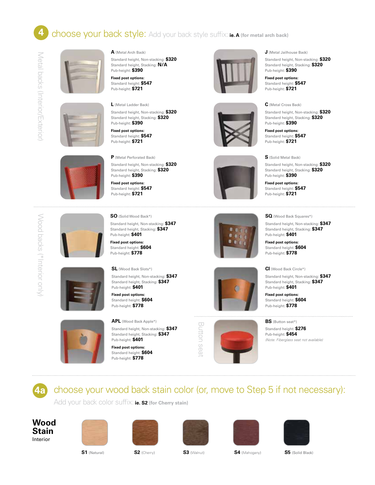#### choose your back style: Add your back style suffix: **ie. A (for metal arch back) 4**









**Fixed post options:** Standard height: **\$547** Pub-height: **\$721**

**L** (Metal Ladder Back)

Standard height, Non-stacking: **\$320** Standard height, Stacking: **\$320** Pub-height: **\$390**

**Fixed post options:** Standard height: **\$547** Pub-height: **\$721**



**P** (Metal Perforated Back) Standard height, Non-stacking: **\$320** Standard height, Stacking: **\$320** Pub-height: **\$390**

**Fixed post options:** Standard height: **\$547** Pub-height: **\$721**

**SO** (Solid Wood Back\*)









**SQ** (Wood Back Squares\*)

**J** (Metal Jailhouse Back)

Pub-height: **\$390 Fixed post options:** Standard height: **\$547** Pub-height: **\$721**

**C** (Metal Cross Back)

Pub-height: **\$390 Fixed post options:** Standard height: **\$547** Pub-height: **\$721**

**S** (Solid Metal Back)

Pub-height: **\$390 Fixed post options:** Standard height: **\$547** Pub-height: **\$721**

Standard height, Non-stacking: **\$320** Standard height, Stacking: **\$320**

Standard height, Non-stacking: **\$320** Standard height, Stacking: **\$320**

Standard height, Non-stacking: **\$320** Standard height, Stacking: **\$320**

Standard height, Non-stacking: **\$347** Standard height, Stacking: **\$347** Pub-height: **\$401**

**Fixed post options:** Standard height: **\$604** Pub-height: **\$778**

**CI** (Wood Back Circle\*) Standard height, Non-stacking: **\$347** Standard height, Stacking: **\$347** Pub-height: **\$401**

**Fixed post options:** Standard height: **\$604** Pub-height: **\$778**



## **BS** (Button seat\*)

*(Note: Fiberglass seat not available)*





Pub-height: **\$401 Fixed post options:** Standard height: **\$604** Pub-height: **\$778**



**4a**

Wood backs (\*Interior only)

Wood backs (\*Interior only)

choose your wood back stain color (or, move to Step 5 if not necessary):

Add your back color suffix: **ie. S2 (for Cherry stain)**

**Wood Stain** Interior











**S1** (Natural) **S2** (Cherry) **S3** (Walnut) **S4** (Mahogany) **S5** (Solid Black)



Pub-height: **\$401 Fixed post options:** Standard height: **\$604** Pub-height: **\$778**

Standard height, Stacking: **\$347**

**SL** (Wood Back Slots\*) Standard height, Non-stacking: **\$347** Standard height, Stacking: **\$347**

Pub-height: **\$401 Fixed post options:** Standard height: **\$604** Pub-height: **\$778**

**APL** (Wood Back Apple\*) Standard height, Non-stacking: **\$347** Standard height, Stacking: **\$347**





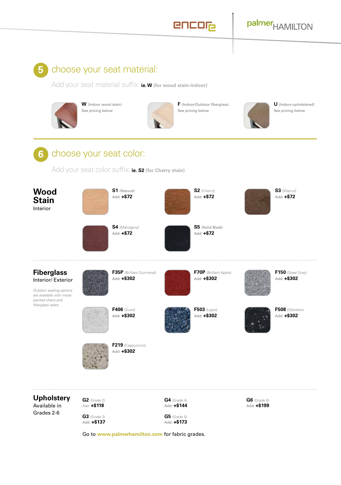#### encor

### palmer<sub>HAMILTON</sub>

#### **5**

#### choose your seat material:

Add your seat material suffix: **ie. W (for wood stain-indoor)**



**W** (Indoor wood stain) See pricing below



**F** (Indoor/Outdoor fiberglass) See pricing below



**U** (Indoor-upholstered) See pricing below



Add your seat color suffix: **ie. S2 (for Cherry stain)**



Add: **+\$173**

Go to **[www.palmerhamilton.com](https://palmerhamilton.com)** for fabric grades.

Add: **+\$137**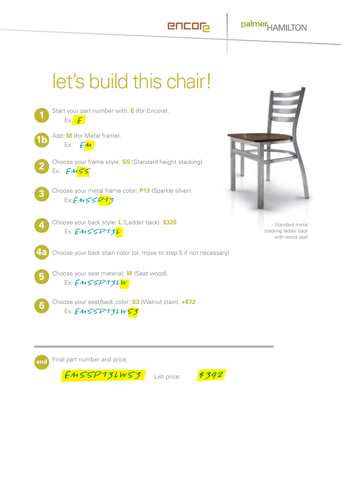### let's build this chair!



Start your part number with: **E** (for Encore). Ex: *E*

- Add: **M** (for Metal frame).  $1<sub>b</sub>$ Ex: *EM*
	- Choose your frame style: **SS** (Standard height stacking). Ex: *EMSS*



4

Choose your metal frame color: **P13** (Sparkle silver). Ex:*EMSSP13*

Choose your back style: **L** (Ladder back). **\$320** Ex: *EMSSP13L*



Standard metal stacking ladder back with wood seat

**4a** Choose your back stain color (or, move to step 5 if not necessary)

5

Choose your seat material: **W** (Seat wood). Ex: *EMSSP13LW*



Choose your seat/back color: **S3** (Walnut stain). **+\$72** Ex: *EMSSP13LWS3*



*EMSSP13LWS3* List price: *\$392*